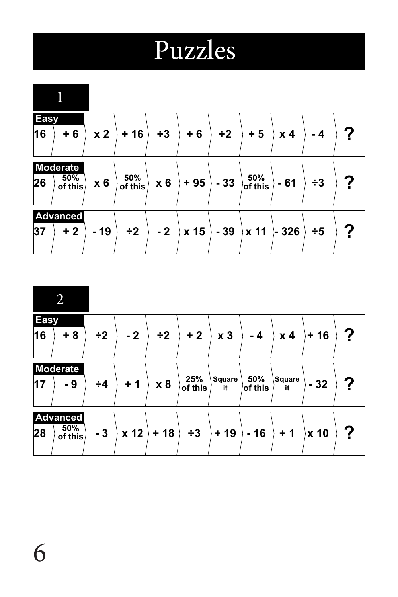## Puzzles

| <b>Easy</b><br>16 | $+6$                              | x <sub>2</sub> | $+16$             | $\div 3$ | $+6$  | $\div 2$ | $+5$           | x <sub>4</sub> | $-4$     | ? |
|-------------------|-----------------------------------|----------------|-------------------|----------|-------|----------|----------------|----------------|----------|---|
| 26                | <b>Moderate</b><br>50%<br>of this | x6             | $50\%$<br>of this | $x_6$    | $+95$ | $-33$    | $50\%$ of this | $-61$          | $\div 3$ | ? |
| 37                | <b>Advanced</b><br>$+2$           | $-19$          | $\div 2$          | $-2$     | x 15  | $-39$    | x 11           | $-326$         | $\div 5$ | ? |

| $\overline{2}$        |                |          |      |          |                |                     |                |                |       |   |
|-----------------------|----------------|----------|------|----------|----------------|---------------------|----------------|----------------|-------|---|
| <b>Easy</b><br>16     | $+8$           | $\div 2$ | $-2$ | $\div 2$ | $+2$           | x <sub>3</sub>      | $-4$           | x <sub>4</sub> | $+16$ | ? |
| <b>Moderate</b><br>17 | - 9            | $\div 4$ | $+1$ | x 8      | 25%<br>of this | <b>Square</b><br>it | 50%<br>of this | Square<br>it   | $-32$ | ? |
| <b>Advanced</b><br>28 | 50%<br>of this | $-3$     | x 12 | $+18$    | $\div 3$       | $+19$               | $-16$          | $+1$           | x 10  | ? |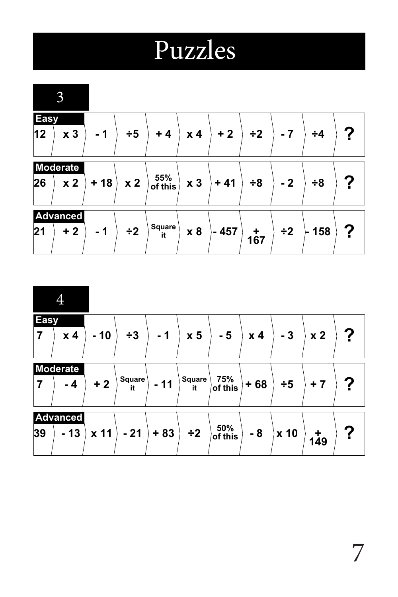## Puzzles

|                    | 3                                 |       |                |                     |                |        |          |          |          |   |
|--------------------|-----------------------------------|-------|----------------|---------------------|----------------|--------|----------|----------|----------|---|
| <b>Easy</b><br> 12 | x <sub>3</sub>                    | $-1$  | $\div 5$       | $+4$                | x <sub>4</sub> | $+2$   | $\div 2$ | $-7$     | $\div 4$ |   |
| 26                 | <b>Moderate</b><br>x <sub>2</sub> | $+18$ | x <sub>2</sub> | 55%<br>of this      | x <sub>3</sub> | $+41$  | $\div 8$ | $-2$     | $\div 8$ |   |
| 21                 | <b>Advanced</b><br>$+2$           | $-1$  | $\div 2$       | <b>Square</b><br>it | x8             | $-457$ | 167      | $\div 2$ | ⊦ 158    | ? |

| <b>Easy</b><br>x <sub>4</sub><br>$\overline{7}$ | $-10$ | $\div 3$     | $-1$  | x <sub>5</sub> | $-5$                                       | x <sub>4</sub> | $-3$     | x <sub>2</sub> | ? |
|-------------------------------------------------|-------|--------------|-------|----------------|--------------------------------------------|----------------|----------|----------------|---|
| <b>Moderate</b><br>$-4$<br>$\overline{7}$       | $+2$  | Square<br>it | $-11$ | Square<br>it   | $75\%$ of this                             | $+68$          | $\div 5$ | $+7$           |   |
| <b>Advanced</b><br>39<br>$-13$                  | x 11  | $-21$        | $+83$ | $\div 2$       | $\frac{50\%}{\mathsf{of}\, \mathsf{this}}$ | $-8$           | x 10     | 149            | ? |